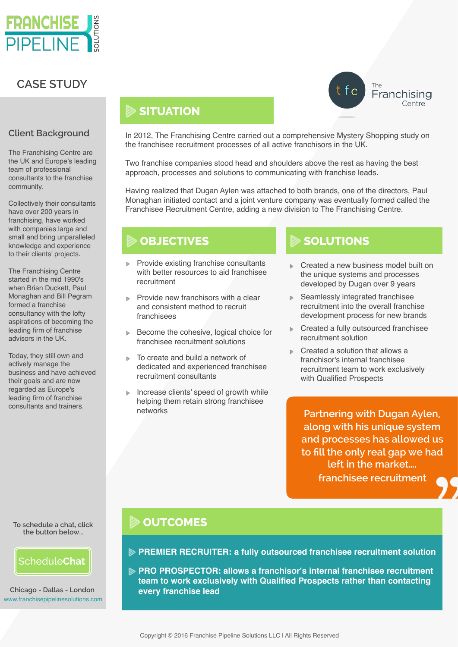

## **CASE STUDY**

### **Client Background**

The Franchising Centre are the UK and Europe's leading team of professional consultants to the franchise community.

Collectively their consultants have over 200 years in franchising, have worked with companies large and small and bring unparalleled knowledge and experience to their clients' projects.

The Franchising Centre started in the mid 1990's when Brian Duckett, Paul Monaghan and Bill Pegram formed a franchise consultancy with the lofty aspirations of becoming the leading firm of franchise advisors in the UK.

Today, they still own and actively manage the business and have achieved their goals and are now regarded as Europe's leading firm of franchise consultants and trainers.

**To schedule a chat, click the button below…**



[www.franchisepipelinesolutions.com](http://www.franchisepipelinesolutions.com) **Chicago - Dallas - London**

# **SITUATION**

In 2012, The Franchising Centre carried out a comprehensive Mystery Shopping study on the franchisee recruitment processes of all active franchisors in the UK.

Two franchise companies stood head and shoulders above the rest as having the best approach, processes and solutions to communicating with franchise leads.

Having realized that Dugan Aylen was attached to both brands, one of the directors, Paul Monaghan initiated contact and a joint venture company was eventually formed called the Franchisee Recruitment Centre, adding a new division to The Franchising Centre.

## **OBJECTIVES**

- **▶ Provide existing franchise consultants** with better resources to aid franchisee recruitment
- **▶ Provide new franchisors with a clear** and consistent method to recruit franchisees
- **▶ Become the cohesive, logical choice for** franchisee recruitment solutions
- To create and build a network of dedicated and experienced franchisee recruitment consultants
- Increase clients' speed of growth while helping them retain strong franchisee networks

# **SOLUTIONS**

**▶ Created a new business model built on** the unique systems and processes developed by Dugan over 9 years

 $\int_{0}^{\text{The}}$  Franchising

Centre

- Seamlessly integrated franchisee recruitment into the overall franchise development process for new brands
- Created a fully outsourced franchisee recruitment solution
- **►** Created a solution that allows a franchisor's internal franchisee recruitment team to work exclusively with Qualified Prospects

**Partnering with Dugan Aylen, along with his unique system and processes has allowed us to fill the only real gap we had left in the market…. franchisee recruitment** <sup>d</sup><br>?

## **DUTCOMES**

**PREMIER RECRUITER: a fully outsourced franchisee recruitment solution**

**PRO PROSPECTOR: allows a franchisor's internal franchisee recruitment team to work exclusively with Qualified Prospects rather than contacting every franchise lead**